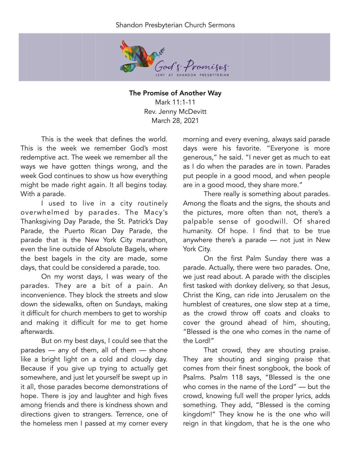## Shandon Presbyterian Church Sermons



The Promise of Another Way Mark 11:1-11 Rev. Jenny McDevitt March 28, 2021

This is the week that defines the world. This is the week we remember God's most redemptive act. The week we remember all the ways we have gotten things wrong, and the week God continues to show us how everything might be made right again. It all begins today. With a parade.

I used to live in a city routinely overwhelmed by parades. The Macy's Thanksgiving Day Parade, the St. Patrick's Day Parade, the Puerto Rican Day Parade, the parade that is the New York City marathon, even the line outside of Absolute Bagels, where the best bagels in the city are made, some days, that could be considered a parade, too.

On my worst days, I was weary of the parades. They are a bit of a pain. An inconvenience. They block the streets and slow down the sidewalks, often on Sundays, making it difficult for church members to get to worship and making it difficult for me to get home afterwards.

But on my best days, I could see that the parades — any of them, all of them — shone like a bright light on a cold and cloudy day. Because if you give up trying to actually get somewhere, and just let yourself be swept up in it all, those parades become demonstrations of hope. There is joy and laughter and high fives among friends and there is kindness shown and directions given to strangers. Terrence, one of the homeless men I passed at my corner every morning and every evening, always said parade days were his favorite. "Everyone is more generous," he said. "I never get as much to eat as I do when the parades are in town. Parades put people in a good mood, and when people are in a good mood, they share more."

There really is something about parades. Among the floats and the signs, the shouts and the pictures, more often than not, there's a palpable sense of goodwill. Of shared humanity. Of hope. I find that to be true anywhere there's a parade — not just in New York City.

On the first Palm Sunday there was a parade. Actually, there were two parades. One, we just read about. A parade with the disciples first tasked with donkey delivery, so that Jesus, Christ the King, can ride into Jerusalem on the humblest of creatures, one slow step at a time, as the crowd throw off coats and cloaks to cover the ground ahead of him, shouting, "Blessed is the one who comes in the name of the Lord!"

That crowd, they are shouting praise. They are shouting and singing praise that comes from their finest songbook, the book of Psalms. Psalm 118 says, "Blessed is the one who comes in the name of the Lord" — but the crowd, knowing full well the proper lyrics, adds something. They add, "Blessed is the coming kingdom!" They know he is the one who will reign in that kingdom, that he is the one who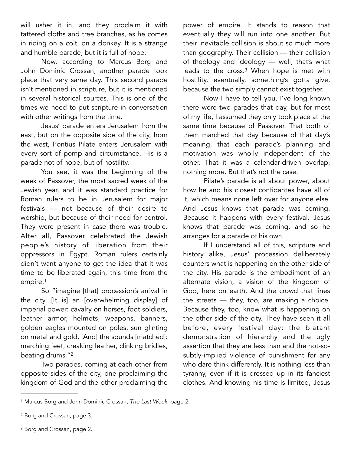will usher it in, and they proclaim it with tattered cloths and tree branches, as he comes in riding on a colt, on a donkey. It is a strange and humble parade, but it is full of hope.

Now, according to Marcus Borg and John Dominic Crossan, another parade took place that very same day. This second parade isn't mentioned in scripture, but it is mentioned in several historical sources. This is one of the times we need to put scripture in conversation with other writings from the time.

Jesus' parade enters Jerusalem from the east, but on the opposite side of the city, from the west, Pontius Pilate enters Jerusalem with every sort of pomp and circumstance. His is a parade not of hope, but of hostility.

You see, it was the beginning of the week of Passover, the most sacred week of the Jewish year, and it was standard practice for Roman rulers to be in Jerusalem for major festivals — not because of their desire to worship, but because of their need for control. They were present in case there was trouble. After all, Passover celebrated the Jewish people's history of liberation from their oppressors in Egypt. Roman rulers certainly didn't want anyone to get the idea that it was time to be liberated again, this time from the empire.[1](#page-1-0)

<span id="page-1-3"></span>So "imagine [that] procession's arrival in the city. [It is] an [overwhelming display] of imperial power: cavalry on horses, foot soldiers, leather armor, helmets, weapons, banners, golden eagles mounted on poles, sun glinting on metal and gold. [And] the sounds [matched]: marching feet, creaking leather, clinking bridles, beating drums.["2](#page-1-1)

<span id="page-1-4"></span>Two parades, coming at each other from opposite sides of the city, one proclaiming the kingdom of God and the other proclaiming the

power of empire. It stands to reason that eventually they will run into one another. But their inevitable collision is about so much more than geography. Their collision — their collision of theology and ideology — well, that's what leads to the cross.<sup>[3](#page-1-2)</sup> When hope is met with hostility, eventually, something's gotta give, because the two simply cannot exist together.

<span id="page-1-5"></span>Now I have to tell you, I've long known there were two parades that day, but for most of my life, I assumed they only took place at the same time because of Passover. That both of them marched that day because of that day's meaning, that each parade's planning and motivation was wholly independent of the other. That it was a calendar-driven overlap, nothing more. But that's not the case.

Pilate's parade is all about power, about how he and his closest confidantes have all of it, which means none left over for anyone else. And Jesus knows that parade was coming. Because it happens with every festival. Jesus knows that parade was coming, and so he arranges for a parade of his own.

If I understand all of this, scripture and history alike, Jesus' procession deliberately counters what is happening on the other side of the city. His parade is the embodiment of an alternate vision, a vision of the kingdom of God, here on earth. And the crowd that lines the streets — they, too, are making a choice. Because they, too, know what is happening on the other side of the city. They have seen it all before, every festival day: the blatant demonstration of hierarchy and the ugly assertion that they are less than and the not-sosubtly-implied violence of punishment for any who dare think differently. It is nothing less than tyranny, even if it is dressed up in its fanciest clothes. And knowing his time is limited, Jesus

<span id="page-1-0"></span>Marcus Borg and John Dominic Crossan, *The Last Week*, page 2. [1](#page-1-3)

<span id="page-1-1"></span><sup>&</sup>lt;sup>[2](#page-1-4)</sup> Borg and Crossan, page 3.

<span id="page-1-2"></span><sup>&</sup>lt;sup>[3](#page-1-5)</sup> Borg and Crossan, page 2.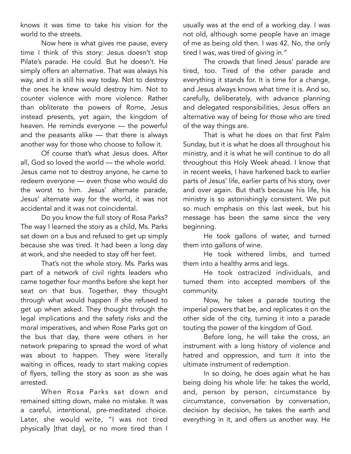knows it was time to take his vision for the world to the streets.

Now here is what gives me pause, every time I think of this story: Jesus doesn't stop Pilate's parade. He could. But he doesn't. He simply offers an alternative. That was always his way, and it is still his way today. Not to destroy the ones he knew would destroy him. Not to counter violence with more violence. Rather than obliterate the powers of Rome, Jesus instead presents, yet again, the kingdom of heaven. He reminds everyone — the powerful and the peasants alike — that there is always another way for those who choose to follow it.

Of course that's what Jesus does. After all, God so loved the world — the whole world. Jesus came not to destroy anyone, he came to redeem everyone — even those who would do the worst to him. Jesus' alternate parade, Jesus' alternate way for the world, it was not accidental and it was not coincidental.

Do you know the full story of Rosa Parks? The way I learned the story as a child, Ms. Parks sat down on a bus and refused to get up simply because she was tired. It had been a long day at work, and she needed to stay off her feet.

That's not the whole story. Ms. Parks was part of a network of civil rights leaders who came together four months before she kept her seat on that bus. Together, they thought through what would happen if she refused to get up when asked. They thought through the legal implications and the safety risks and the moral imperatives, and when Rose Parks got on the bus that day, there were others in her network preparing to spread the word of what was about to happen. They were literally waiting in offices, ready to start making copies of flyers, telling the story as soon as she was arrested.

When Rosa Parks sat down and remained sitting down, make no mistake. It was a careful, intentional, pre-meditated choice. Later, she would write, "I was not tired physically [that day], or no more tired than I usually was at the end of a working day. I was not old, although some people have an image of me as being old then. I was 42. No, the only tired I was, was tired of giving in."

The crowds that lined Jesus' parade are tired, too. Tired of the other parade and everything it stands for. It is time for a change, and Jesus always knows what time it is. And so, carefully, deliberately, with advance planning and delegated responsibilities, Jesus offers an alternative way of being for those who are tired of the way things are.

That is what he does on that first Palm Sunday, but it is what he does all throughout his ministry, and it is what he will continue to do all throughout this Holy Week ahead. I know that in recent weeks, I have harkened back to earlier parts of Jesus' life, earlier parts of his story, over and over again. But that's because his life, his ministry is so astonishingly consistent. We put so much emphasis on this last week, but his message has been the same since the very beginning.

He took gallons of water, and turned them into gallons of wine.

He took withered limbs, and turned them into a healthy arms and legs.

He took ostracized individuals, and turned them into accepted members of the community.

Now, he takes a parade touting the imperial powers that be, and replicates it on the other side of the city, turning it into a parade touting the power of the kingdom of God.

Before long, he will take the cross, an instrument with a long history of violence and hatred and oppression, and turn it into the ultimate instrument of redemption.

In so doing, he does again what he has being doing his whole life: he takes the world, and, person by person, circumstance by circumstance, conversation by conversation, decision by decision, he takes the earth and everything in it, and offers us another way. He